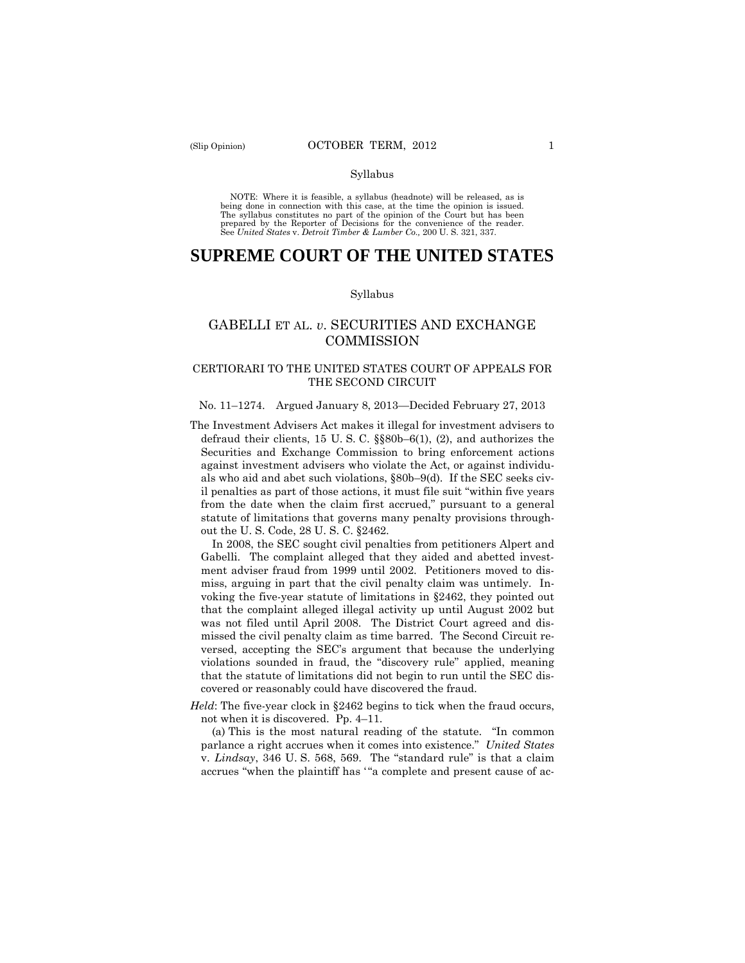#### Syllabus

 NOTE: Where it is feasible, a syllabus (headnote) will be released, as is being done in connection with this case, at the time the opinion is issued. The syllabus constitutes no part of the opinion of the Court but has been<br>prepared by the Reporter of Decisions for the convenience of the reader.<br>See United States v. Detroit Timber & Lumber Co., 200 U.S. 321, 337.

# **SUPREME COURT OF THE UNITED STATES**

#### Syllabus

# GABELLI ET AL. *v*. SECURITIES AND EXCHANGE **COMMISSION**

# CERTIORARI TO THE UNITED STATES COURT OF APPEALS FOR THE SECOND CIRCUIT

# No. 11–1274. Argued January 8, 2013—Decided February 27, 2013

The Investment Advisers Act makes it illegal for investment advisers to defraud their clients, 15 U. S. C. §§80b–6(1), (2), and authorizes the Securities and Exchange Commission to bring enforcement actions against investment advisers who violate the Act, or against individuals who aid and abet such violations, §80b–9(d). If the SEC seeks civil penalties as part of those actions, it must file suit "within five years from the date when the claim first accrued," pursuant to a general statute of limitations that governs many penalty provisions throughout the U. S. Code, 28 U. S. C. §2462.

In 2008, the SEC sought civil penalties from petitioners Alpert and Gabelli. The complaint alleged that they aided and abetted investment adviser fraud from 1999 until 2002. Petitioners moved to dismiss, arguing in part that the civil penalty claim was untimely. Invoking the five-year statute of limitations in §2462, they pointed out that the complaint alleged illegal activity up until August 2002 but was not filed until April 2008. The District Court agreed and dismissed the civil penalty claim as time barred. The Second Circuit reversed, accepting the SEC's argument that because the underlying violations sounded in fraud, the "discovery rule" applied, meaning that the statute of limitations did not begin to run until the SEC discovered or reasonably could have discovered the fraud.

*Held*: The five-year clock in §2462 begins to tick when the fraud occurs, not when it is discovered. Pp. 4–11.

 parlance a right accrues when it comes into existence." *United States*  (a) This is the most natural reading of the statute. "In common v. *Lindsay*, 346 U. S. 568, 569. The "standard rule" is that a claim accrues "when the plaintiff has "a complete and present cause of ac-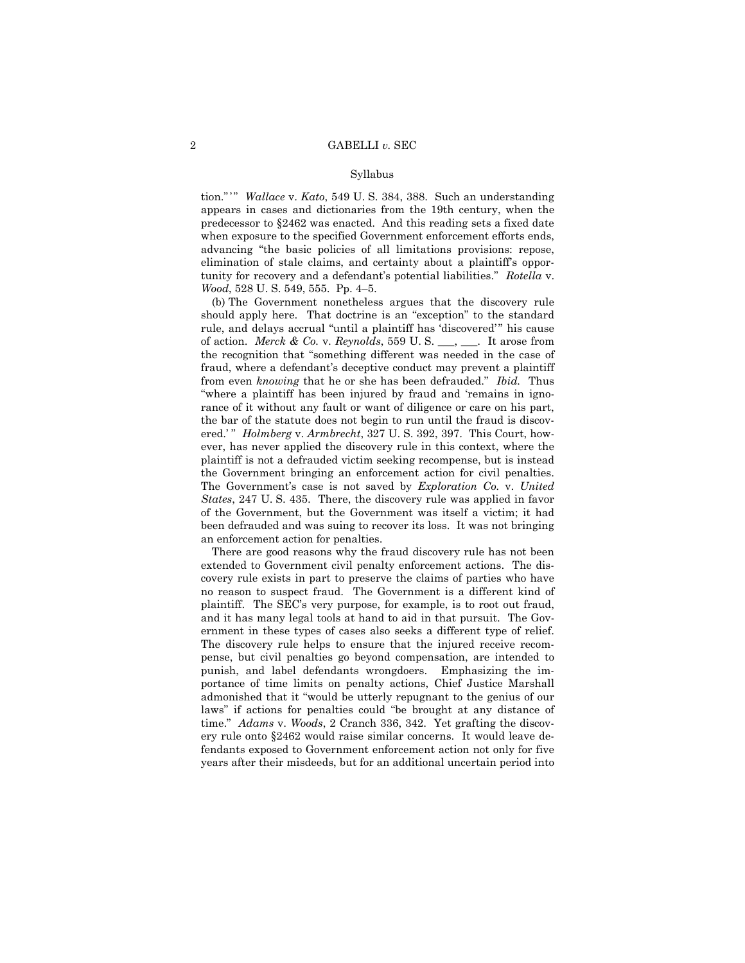#### Syllabus

 tion." ' " *Wallace* v. *Kato*, 549 U. S. 384, 388. Such an understanding appears in cases and dictionaries from the 19th century, when the predecessor to §2462 was enacted. And this reading sets a fixed date when exposure to the specified Government enforcement efforts ends, advancing "the basic policies of all limitations provisions: repose, elimination of stale claims, and certainty about a plaintiff's opportunity for recovery and a defendant's potential liabilities." *Rotella* v. *Wood*, 528 U. S. 549, 555. Pp. 4–5.

(b) The Government nonetheless argues that the discovery rule should apply here. That doctrine is an "exception" to the standard rule, and delays accrual "until a plaintiff has 'discovered'" his cause of action. *Merck & Co.* v. *Reynolds*, 559 U. S. \_\_\_, \_\_\_. It arose from the recognition that "something different was needed in the case of fraud, where a defendant's deceptive conduct may prevent a plaintiff from even *knowing* that he or she has been defrauded." *Ibid.* Thus "where a plaintiff has been injured by fraud and 'remains in ignorance of it without any fault or want of diligence or care on his part, the bar of the statute does not begin to run until the fraud is discovered.'" *Holmberg* v. *Armbrecht*, 327 U. S. 392, 397. This Court, however, has never applied the discovery rule in this context, where the plaintiff is not a defrauded victim seeking recompense, but is instead the Government bringing an enforcement action for civil penalties. The Government's case is not saved by *Exploration Co.* v. *United States*, 247 U. S. 435. There, the discovery rule was applied in favor of the Government, but the Government was itself a victim; it had been defrauded and was suing to recover its loss. It was not bringing an enforcement action for penalties.

There are good reasons why the fraud discovery rule has not been extended to Government civil penalty enforcement actions. The discovery rule exists in part to preserve the claims of parties who have no reason to suspect fraud. The Government is a different kind of plaintiff. The SEC's very purpose, for example, is to root out fraud, and it has many legal tools at hand to aid in that pursuit. The Government in these types of cases also seeks a different type of relief. The discovery rule helps to ensure that the injured receive recompense, but civil penalties go beyond compensation, are intended to punish, and label defendants wrongdoers. Emphasizing the importance of time limits on penalty actions, Chief Justice Marshall admonished that it "would be utterly repugnant to the genius of our laws" if actions for penalties could "be brought at any distance of time." *Adams* v. *Woods*, 2 Cranch 336, 342. Yet grafting the discovery rule onto §2462 would raise similar concerns. It would leave defendants exposed to Government enforcement action not only for five years after their misdeeds, but for an additional uncertain period into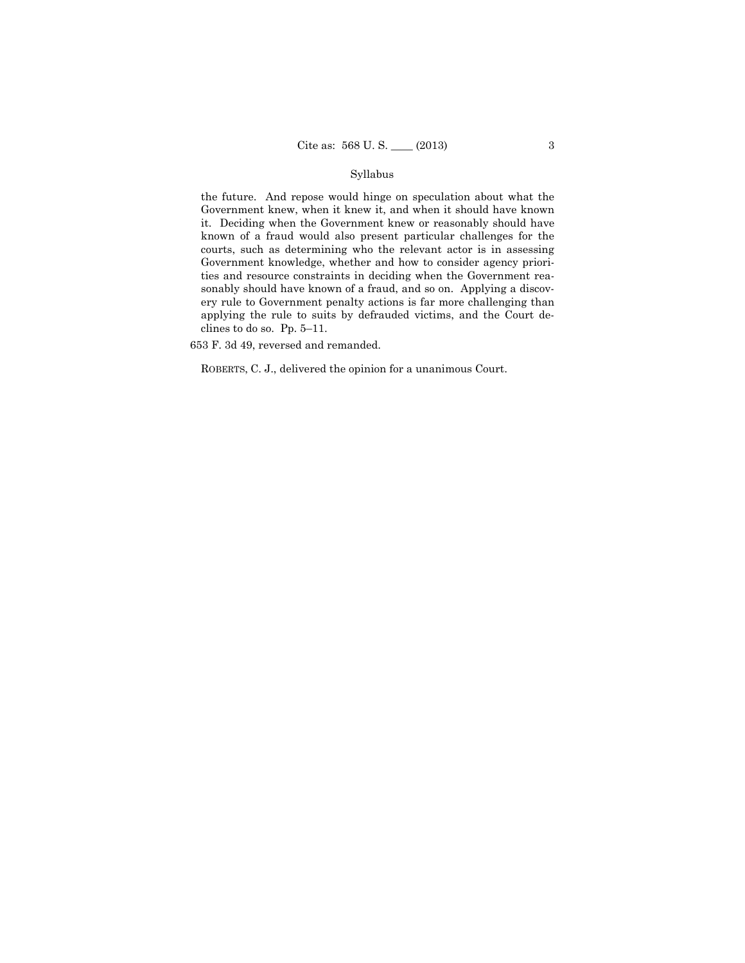# Syllabus

the future. And repose would hinge on speculation about what the Government knew, when it knew it, and when it should have known it. Deciding when the Government knew or reasonably should have known of a fraud would also present particular challenges for the courts, such as determining who the relevant actor is in assessing Government knowledge, whether and how to consider agency priorities and resource constraints in deciding when the Government reasonably should have known of a fraud, and so on. Applying a discovery rule to Government penalty actions is far more challenging than applying the rule to suits by defrauded victims, and the Court declines to do so. Pp. 5–11.

653 F. 3d 49, reversed and remanded.

ROBERTS, C. J., delivered the opinion for a unanimous Court.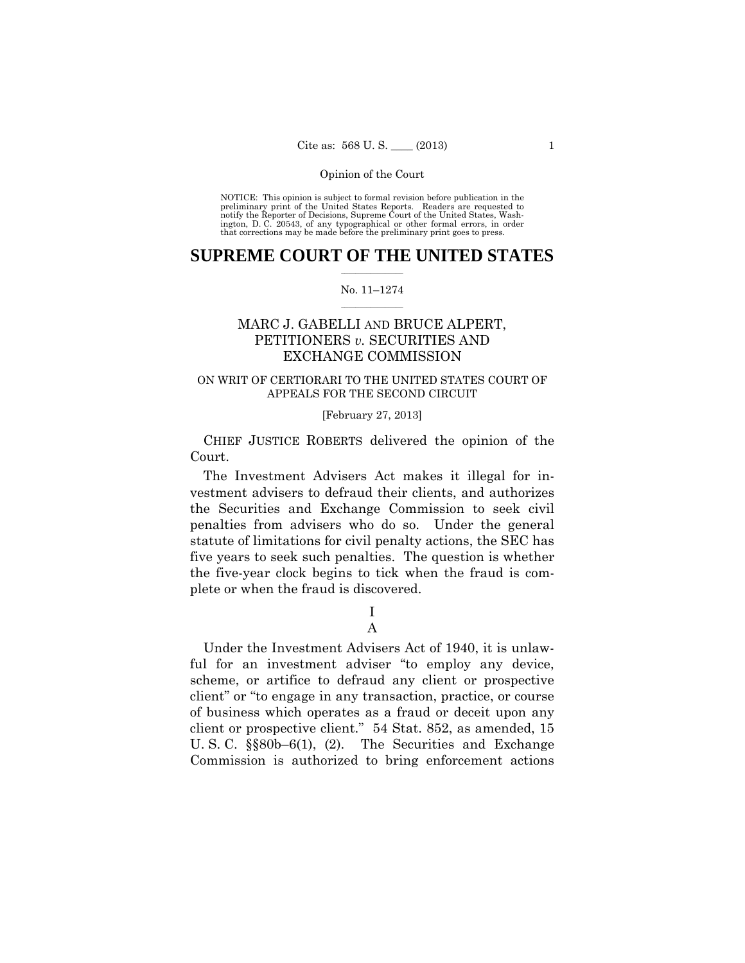preliminary print of the United States Reports. Readers are requested to notify the Reporter of Decisions, Supreme Court of the United States, Wash- ington, D. C. 20543, of any typographical or other formal errors, in order that corrections may be made before the preliminary print goes to press. NOTICE: This opinion is subject to formal revision before publication in the

# $\frac{1}{2}$  ,  $\frac{1}{2}$  ,  $\frac{1}{2}$  ,  $\frac{1}{2}$  ,  $\frac{1}{2}$  ,  $\frac{1}{2}$  ,  $\frac{1}{2}$ **SUPREME COURT OF THE UNITED STATES**

### $\frac{1}{2}$  ,  $\frac{1}{2}$  ,  $\frac{1}{2}$  ,  $\frac{1}{2}$  ,  $\frac{1}{2}$  ,  $\frac{1}{2}$ No. 11–1274

# MARC J. GABELLI AND BRUCE ALPERT, PETITIONERS *v.* SECURITIES AND EXCHANGE COMMISSION

# ON WRIT OF CERTIORARI TO THE UNITED STATES COURT OF APPEALS FOR THE SECOND CIRCUIT

# [February 27, 2013]

 CHIEF JUSTICE ROBERTS delivered the opinion of the Court.

The Investment Advisers Act makes it illegal for investment advisers to defraud their clients, and authorizes the Securities and Exchange Commission to seek civil penalties from advisers who do so. Under the general statute of limitations for civil penalty actions, the SEC has five years to seek such penalties. The question is whether the five-year clock begins to tick when the fraud is complete or when the fraud is discovered.

# I A

Under the Investment Advisers Act of 1940, it is unlawful for an investment adviser "to employ any device, scheme, or artifice to defraud any client or prospective client" or "to engage in any transaction, practice, or course of business which operates as a fraud or deceit upon any client or prospective client." 54 Stat. 852, as amended, 15 U. S. C. §§80b–6(1), (2). The Securities and Exchange Commission is authorized to bring enforcement actions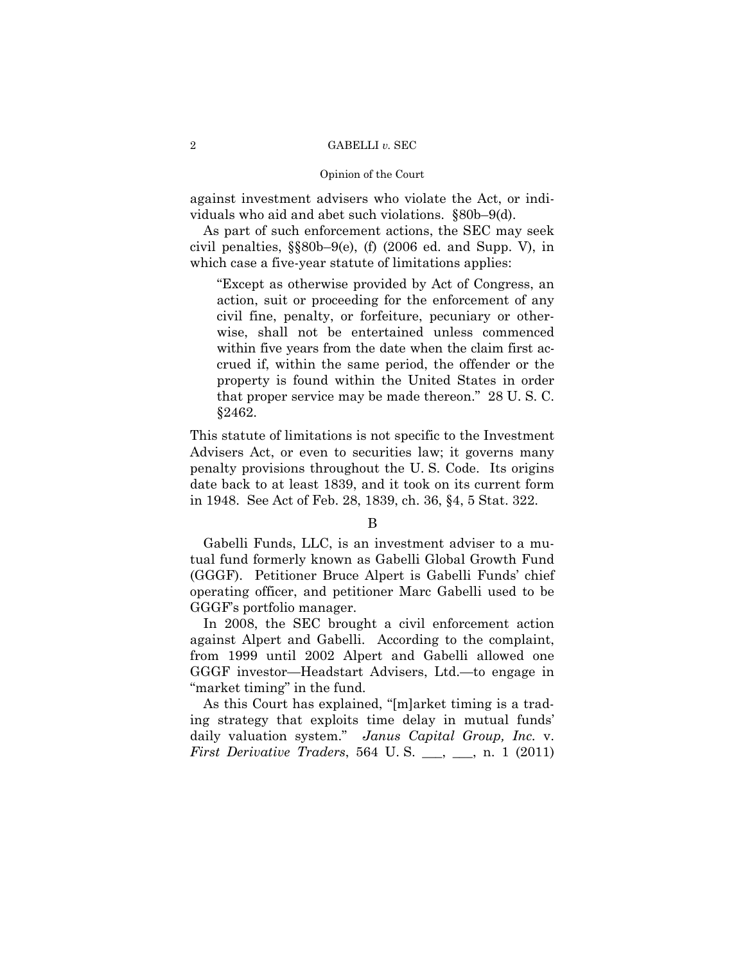against investment advisers who violate the Act, or individuals who aid and abet such violations. §80b–9(d).

As part of such enforcement actions, the SEC may seek civil penalties, §§80b–9(e), (f) (2006 ed. and Supp. V), in which case a five-year statute of limitations applies:

"Except as otherwise provided by Act of Congress, an action, suit or proceeding for the enforcement of any civil fine, penalty, or forfeiture, pecuniary or otherwise, shall not be entertained unless commenced within five years from the date when the claim first accrued if, within the same period, the offender or the property is found within the United States in order that proper service may be made thereon." 28 U. S. C. §2462.

This statute of limitations is not specific to the Investment Advisers Act, or even to securities law; it governs many penalty provisions throughout the U. S. Code. Its origins date back to at least 1839, and it took on its current form in 1948. See Act of Feb. 28, 1839, ch. 36, §4, 5 Stat. 322.

B

Gabelli Funds, LLC, is an investment adviser to a mutual fund formerly known as Gabelli Global Growth Fund (GGGF). Petitioner Bruce Alpert is Gabelli Funds' chief operating officer, and petitioner Marc Gabelli used to be GGGF's portfolio manager.

In 2008, the SEC brought a civil enforcement action against Alpert and Gabelli. According to the complaint, from 1999 until 2002 Alpert and Gabelli allowed one GGGF investor—Headstart Advisers, Ltd.—to engage in "market timing" in the fund.

As this Court has explained, "[m]arket timing is a trading strategy that exploits time delay in mutual funds' daily valuation system." *Janus Capital Group, Inc.* v. *First Derivative Traders*, 564 U.S. <sub>\_\_\_</sub>, \_\_, n. 1 (2011)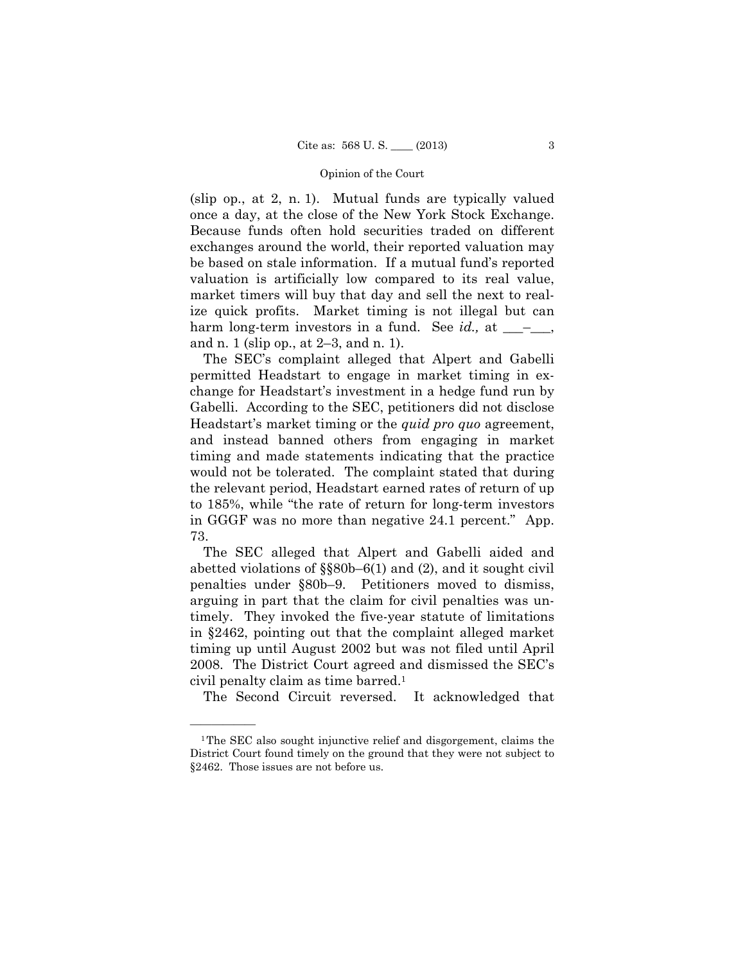(slip op., at 2, n. 1). Mutual funds are typically valued once a day, at the close of the New York Stock Exchange. Because funds often hold securities traded on different exchanges around the world, their reported valuation may be based on stale information. If a mutual fund's reported valuation is artificially low compared to its real value, market timers will buy that day and sell the next to realize quick profits. Market timing is not illegal but can harm long-term investors in a fund. See *id.*, at \_\_\_\_\_, and n. 1 (slip op., at 2–3, and n. 1).

The SEC's complaint alleged that Alpert and Gabelli permitted Headstart to engage in market timing in exchange for Headstart's investment in a hedge fund run by Gabelli. According to the SEC, petitioners did not disclose Headstart's market timing or the *quid pro quo* agreement, and instead banned others from engaging in market timing and made statements indicating that the practice would not be tolerated. The complaint stated that during the relevant period, Headstart earned rates of return of up to 185%, while "the rate of return for long-term investors in GGGF was no more than negative 24.1 percent." App. 73.

The SEC alleged that Alpert and Gabelli aided and abetted violations of §§80b–6(1) and (2), and it sought civil penalties under §80b–9. Petitioners moved to dismiss, arguing in part that the claim for civil penalties was untimely. They invoked the five-year statute of limitations in §2462, pointing out that the complaint alleged market timing up until August 2002 but was not filed until April 2008. The District Court agreed and dismissed the SEC's civil penalty claim as time barred.1

The Second Circuit reversed. It acknowledged that

——————

<sup>1</sup>The SEC also sought injunctive relief and disgorgement, claims the District Court found timely on the ground that they were not subject to §2462. Those issues are not before us.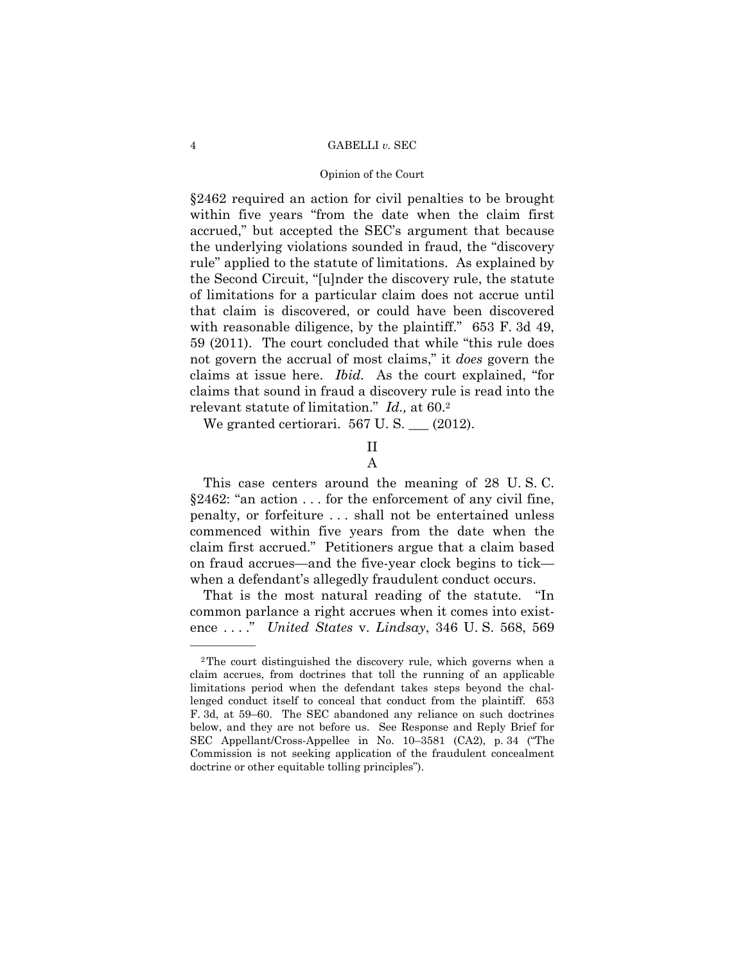## 4 GABELLI *v.* SEC

### Opinion of the Court

§2462 required an action for civil penalties to be brought within five years "from the date when the claim first accrued," but accepted the SEC's argument that because the underlying violations sounded in fraud, the "discovery rule" applied to the statute of limitations. As explained by the Second Circuit, "[u]nder the discovery rule, the statute of limitations for a particular claim does not accrue until that claim is discovered, or could have been discovered with reasonable diligence, by the plaintiff." 653 F. 3d 49, 59 (2011). The court concluded that while "this rule does not govern the accrual of most claims," it *does* govern the claims at issue here. *Ibid.* As the court explained, "for claims that sound in fraud a discovery rule is read into the relevant statute of limitation." *Id.,* at 60.2

We granted certiorari.  $567$  U. S.  $\_\_$  (2012).

# II A

 claim first accrued." Petitioners argue that a claim based This case centers around the meaning of 28 U. S. C. §2462: "an action . . . for the enforcement of any civil fine, penalty, or forfeiture . . . shall not be entertained unless commenced within five years from the date when the on fraud accrues—and the five-year clock begins to tick when a defendant's allegedly fraudulent conduct occurs.

That is the most natural reading of the statute. "In common parlance a right accrues when it comes into existence . . . ." *United States* v. *Lindsay*, 346 U. S. 568, 569

——————

<sup>2</sup>The court distinguished the discovery rule, which governs when a claim accrues, from doctrines that toll the running of an applicable limitations period when the defendant takes steps beyond the challenged conduct itself to conceal that conduct from the plaintiff. 653 F. 3d, at 59–60. The SEC abandoned any reliance on such doctrines below, and they are not before us. See Response and Reply Brief for SEC Appellant/Cross-Appellee in No. 10–3581 (CA2), p. 34 ("The Commission is not seeking application of the fraudulent concealment doctrine or other equitable tolling principles").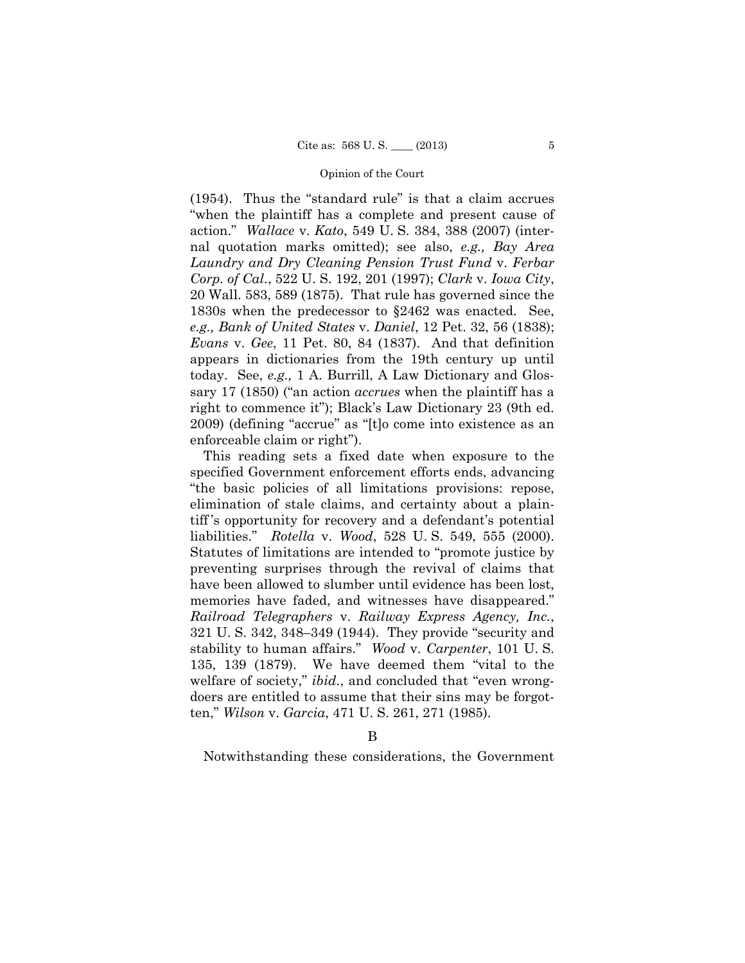(1954). Thus the "standard rule" is that a claim accrues "when the plaintiff has a complete and present cause of action." *Wallace* v. *Kato*, 549 U. S. 384, 388 (2007) (internal quotation marks omitted); see also, *e.g., Bay Area Laundry and Dry Cleaning Pension Trust Fund* v. *Ferbar Corp. of Cal.*, 522 U. S. 192, 201 (1997); *Clark* v. *Iowa City*, 20 Wall. 583, 589 (1875). That rule has governed since the 1830s when the predecessor to §2462 was enacted. See, *e.g., Bank of United States* v. *Daniel*, 12 Pet. 32, 56 (1838); *Evans* v. *Gee*, 11 Pet. 80, 84 (1837). And that definition appears in dictionaries from the 19th century up until today. See, *e.g.,* 1 A. Burrill, A Law Dictionary and Glossary 17 (1850) ("an action *accrues* when the plaintiff has a right to commence it"); Black's Law Dictionary 23 (9th ed. 2009) (defining "accrue" as "[t]o come into existence as an enforceable claim or right").

This reading sets a fixed date when exposure to the specified Government enforcement efforts ends, advancing "the basic policies of all limitations provisions: repose, elimination of stale claims, and certainty about a plaintiff 's opportunity for recovery and a defendant's potential liabilities." *Rotella* v. *Wood*, 528 U. S. 549, 555 (2000). Statutes of limitations are intended to "promote justice by preventing surprises through the revival of claims that have been allowed to slumber until evidence has been lost, memories have faded, and witnesses have disappeared." *Railroad Telegraphers* v. *Railway Express Agency, Inc.*, 321 U. S. 342, 348–349 (1944). They provide "security and stability to human affairs." *Wood* v. *Carpenter*, 101 U. S. 135, 139 (1879). We have deemed them "vital to the welfare of society," *ibid.*, and concluded that "even wrongdoers are entitled to assume that their sins may be forgotten," *Wilson* v. *Garcia*, 471 U. S. 261, 271 (1985).

Notwithstanding these considerations, the Government

B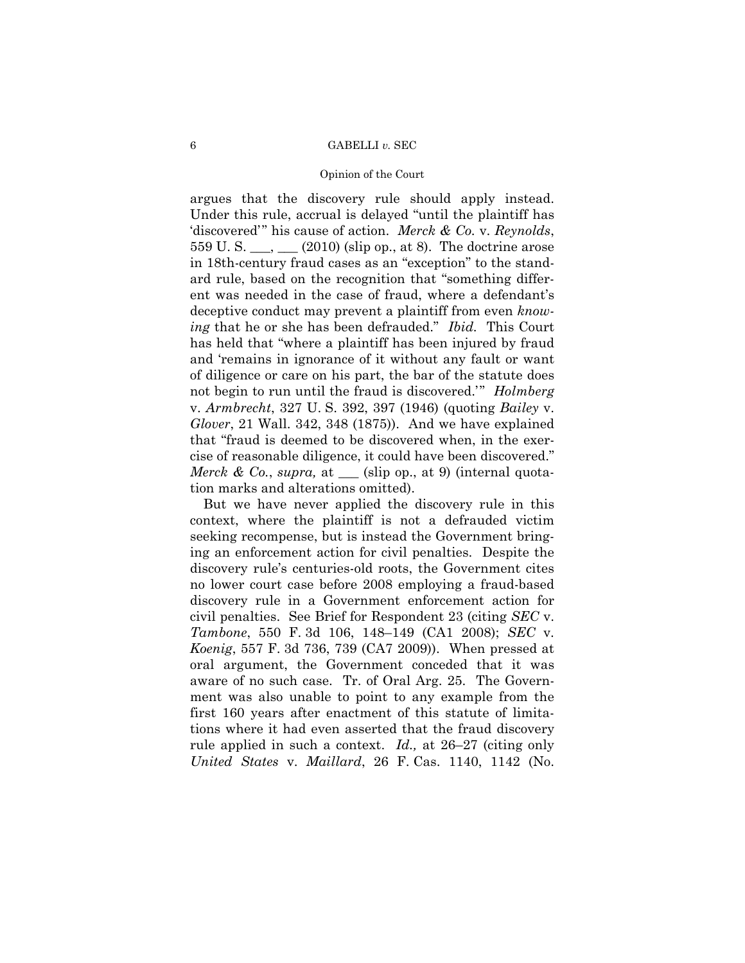## 6 GABELLI *v.* SEC

### Opinion of the Court

argues that the discovery rule should apply instead. Under this rule, accrual is delayed "until the plaintiff has 'discovered'" his cause of action. *Merck & Co.* v. *Reynolds*, 559 U. S. \_\_\_, \_\_\_ (2010) (slip op., at 8). The doctrine arose in 18th-century fraud cases as an "exception" to the standard rule, based on the recognition that "something different was needed in the case of fraud, where a defendant's deceptive conduct may prevent a plaintiff from even *knowing* that he or she has been defrauded." *Ibid.* This Court has held that "where a plaintiff has been injured by fraud and 'remains in ignorance of it without any fault or want of diligence or care on his part, the bar of the statute does not begin to run until the fraud is discovered.'" *Holmberg*  v. *Armbrecht*, 327 U. S. 392, 397 (1946) (quoting *Bailey* v. *Glover*, 21 Wall. 342, 348 (1875)). And we have explained that "fraud is deemed to be discovered when, in the exercise of reasonable diligence, it could have been discovered." *Merck & Co.*, *supra,* at \_\_\_ (slip op., at 9) (internal quotation marks and alterations omitted).

 *Koenig*, 557 F. 3d 736, 739 (CA7 2009)). When pressed at But we have never applied the discovery rule in this context, where the plaintiff is not a defrauded victim seeking recompense, but is instead the Government bringing an enforcement action for civil penalties. Despite the discovery rule's centuries-old roots, the Government cites no lower court case before 2008 employing a fraud-based discovery rule in a Government enforcement action for civil penalties. See Brief for Respondent 23 (citing *SEC* v. *Tambone*, 550 F. 3d 106, 148–149 (CA1 2008); *SEC* v. oral argument, the Government conceded that it was aware of no such case. Tr. of Oral Arg. 25. The Government was also unable to point to any example from the first 160 years after enactment of this statute of limitations where it had even asserted that the fraud discovery rule applied in such a context. *Id.,* at 26–27 (citing only *United States* v. *Maillard*, 26 F. Cas. 1140, 1142 (No.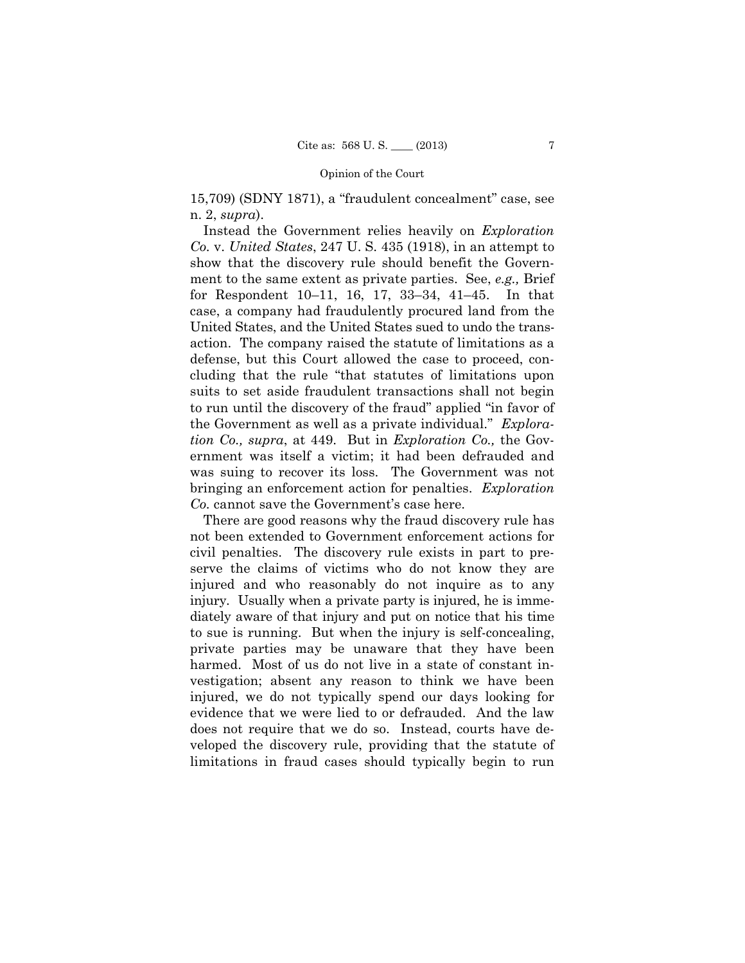15,709) (SDNY 1871), a "fraudulent concealment" case, see n. 2, *supra*).

 for Respondent 10–11, 16, 17, 33–34, 41–45. In that case, a company had fraudulently procured land from the Instead the Government relies heavily on *Exploration Co.* v. *United States*, 247 U. S. 435 (1918), in an attempt to show that the discovery rule should benefit the Government to the same extent as private parties. See, *e.g.,* Brief United States, and the United States sued to undo the transaction. The company raised the statute of limitations as a defense, but this Court allowed the case to proceed, concluding that the rule "that statutes of limitations upon suits to set aside fraudulent transactions shall not begin to run until the discovery of the fraud" applied "in favor of the Government as well as a private individual." *Exploration Co., supra*, at 449. But in *Exploration Co.,* the Government was itself a victim; it had been defrauded and was suing to recover its loss. The Government was not bringing an enforcement action for penalties. *Exploration Co.* cannot save the Government's case here.

 injury. Usually when a private party is injured, he is imme-There are good reasons why the fraud discovery rule has not been extended to Government enforcement actions for civil penalties. The discovery rule exists in part to preserve the claims of victims who do not know they are injured and who reasonably do not inquire as to any diately aware of that injury and put on notice that his time to sue is running. But when the injury is self-concealing, private parties may be unaware that they have been harmed. Most of us do not live in a state of constant investigation; absent any reason to think we have been injured, we do not typically spend our days looking for evidence that we were lied to or defrauded. And the law does not require that we do so. Instead, courts have developed the discovery rule, providing that the statute of limitations in fraud cases should typically begin to run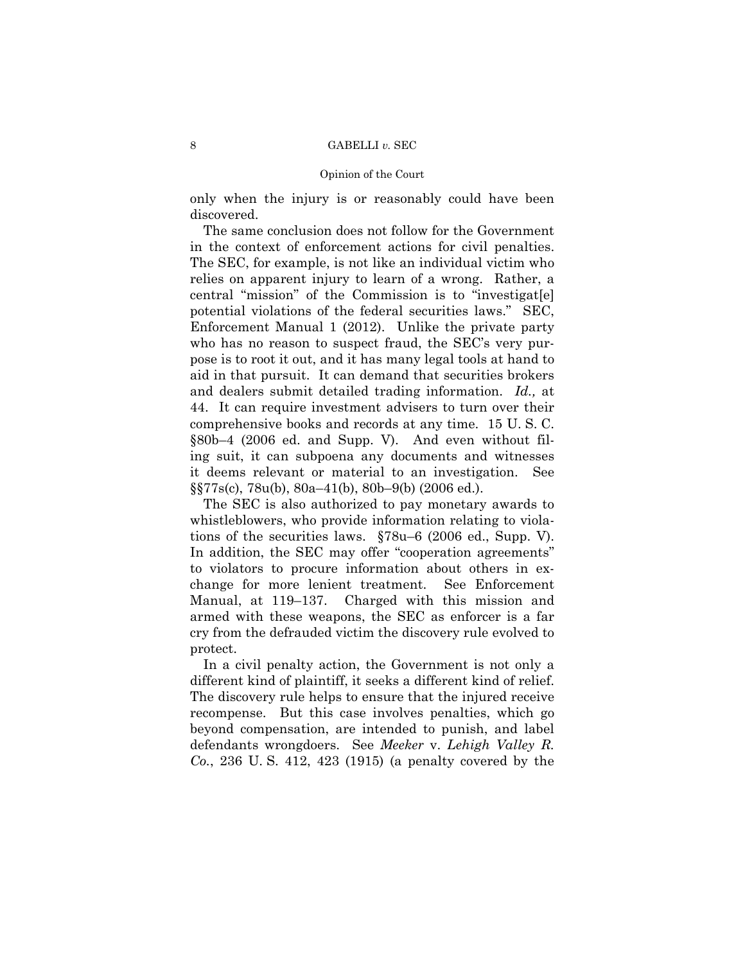only when the injury is or reasonably could have been discovered.

The same conclusion does not follow for the Government in the context of enforcement actions for civil penalties. The SEC, for example, is not like an individual victim who relies on apparent injury to learn of a wrong. Rather, a central "mission" of the Commission is to "investigat[e] potential violations of the federal securities laws." SEC, Enforcement Manual 1 (2012). Unlike the private party who has no reason to suspect fraud, the SEC's very purpose is to root it out, and it has many legal tools at hand to aid in that pursuit. It can demand that securities brokers and dealers submit detailed trading information. *Id.,* at 44. It can require investment advisers to turn over their comprehensive books and records at any time. 15 U. S. C. §80b–4 (2006 ed. and Supp. V). And even without filing suit, it can subpoena any documents and witnesses it deems relevant or material to an investigation. See §§77s(c), 78u(b), 80a–41(b), 80b–9(b) (2006 ed.).

The SEC is also authorized to pay monetary awards to whistleblowers, who provide information relating to violations of the securities laws. §78u–6 (2006 ed., Supp. V). In addition, the SEC may offer "cooperation agreements" to violators to procure information about others in exchange for more lenient treatment. See Enforcement Manual, at 119–137. Charged with this mission and armed with these weapons, the SEC as enforcer is a far cry from the defrauded victim the discovery rule evolved to protect.

In a civil penalty action, the Government is not only a different kind of plaintiff, it seeks a different kind of relief. The discovery rule helps to ensure that the injured receive recompense. But this case involves penalties, which go beyond compensation, are intended to punish, and label defendants wrongdoers. See *Meeker* v. *Lehigh Valley R. Co.*, 236 U. S. 412, 423 (1915) (a penalty covered by the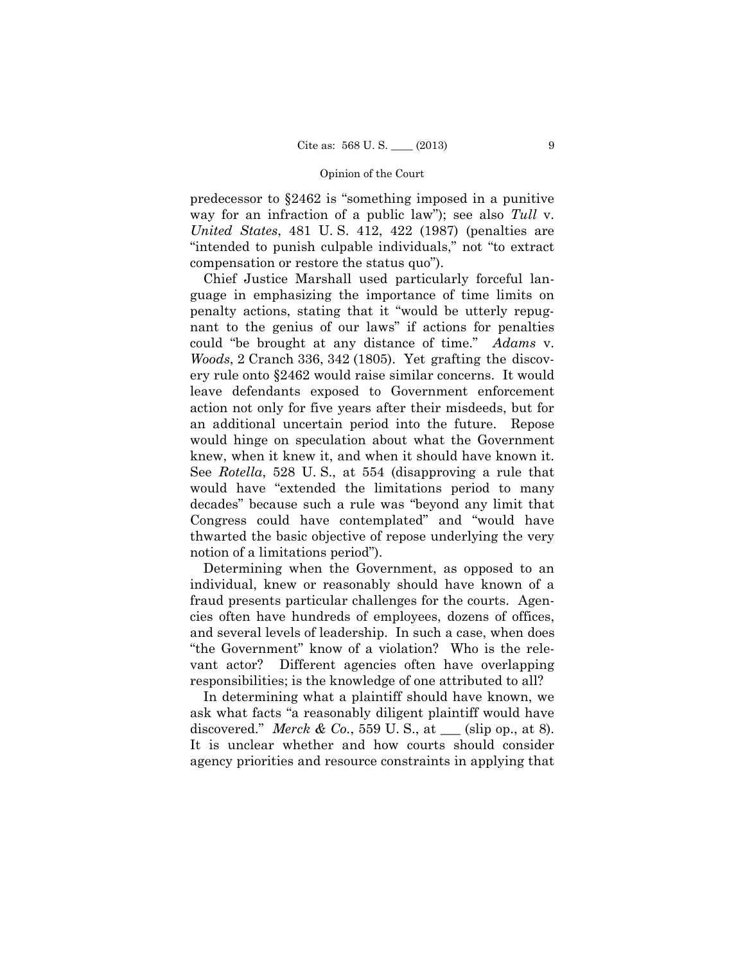predecessor to §2462 is "something imposed in a punitive way for an infraction of a public law"); see also *Tull* v. *United States*, 481 U. S. 412, 422 (1987) (penalties are "intended to punish culpable individuals," not "to extract compensation or restore the status quo").

 guage in emphasizing the importance of time limits on could "be brought at any distance of time." *Adams* v. Chief Justice Marshall used particularly forceful lanpenalty actions, stating that it "would be utterly repugnant to the genius of our laws" if actions for penalties *Woods*, 2 Cranch 336, 342 (1805). Yet grafting the discovery rule onto §2462 would raise similar concerns. It would leave defendants exposed to Government enforcement action not only for five years after their misdeeds, but for an additional uncertain period into the future. Repose would hinge on speculation about what the Government knew, when it knew it, and when it should have known it. See *Rotella*, 528 U. S., at 554 (disapproving a rule that would have "extended the limitations period to many decades" because such a rule was "beyond any limit that Congress could have contemplated" and "would have thwarted the basic objective of repose underlying the very notion of a limitations period").

Determining when the Government, as opposed to an individual, knew or reasonably should have known of a fraud presents particular challenges for the courts. Agencies often have hundreds of employees, dozens of offices, and several levels of leadership. In such a case, when does "the Government" know of a violation? Who is the relevant actor? Different agencies often have overlapping responsibilities; is the knowledge of one attributed to all?

In determining what a plaintiff should have known, we ask what facts "a reasonably diligent plaintiff would have discovered." *Merck & Co.*, 559 U. S., at  $\_\_\_$  (slip op., at 8). It is unclear whether and how courts should consider agency priorities and resource constraints in applying that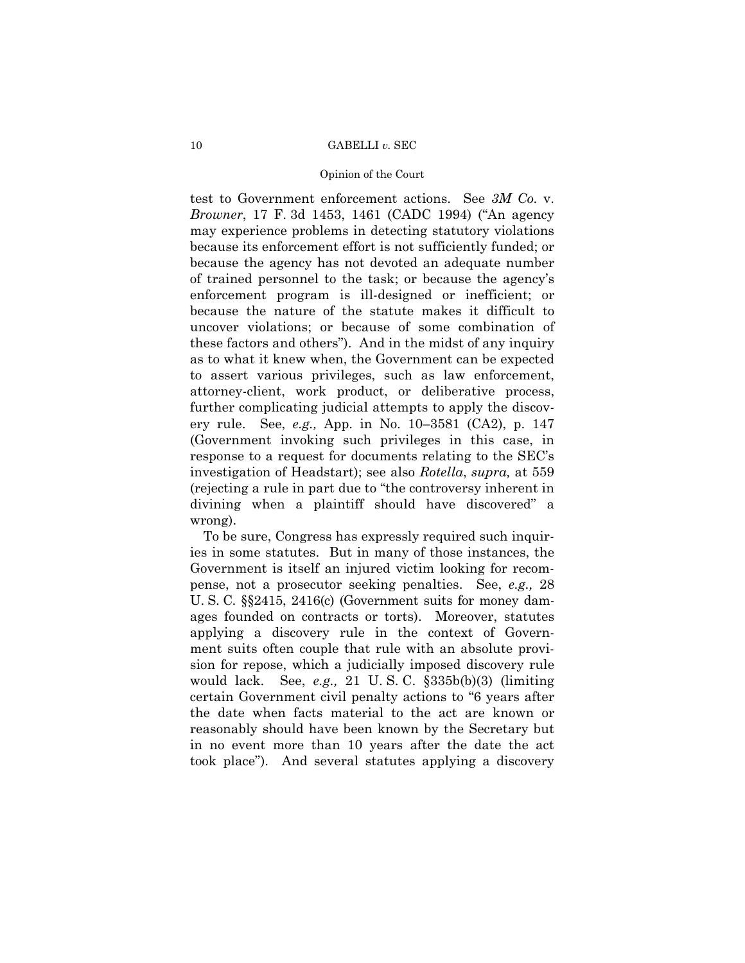## 10 GABELLI *v.* SEC

### Opinion of the Court

test to Government enforcement actions. See *3M Co.* v. *Browner*, 17 F. 3d 1453, 1461 (CADC 1994) ("An agency may experience problems in detecting statutory violations because its enforcement effort is not sufficiently funded; or because the agency has not devoted an adequate number of trained personnel to the task; or because the agency's enforcement program is ill-designed or inefficient; or because the nature of the statute makes it difficult to uncover violations; or because of some combination of these factors and others"). And in the midst of any inquiry as to what it knew when, the Government can be expected to assert various privileges, such as law enforcement, attorney-client, work product, or deliberative process, further complicating judicial attempts to apply the discovery rule. See, *e.g.,* App. in No. 10–3581 (CA2), p. 147 (Government invoking such privileges in this case, in response to a request for documents relating to the SEC's investigation of Headstart); see also *Rotella*, *supra,* at 559 (rejecting a rule in part due to "the controversy inherent in divining when a plaintiff should have discovered" a wrong).

To be sure, Congress has expressly required such inquiries in some statutes. But in many of those instances, the Government is itself an injured victim looking for recompense, not a prosecutor seeking penalties. See, *e.g.,* 28 U. S. C. §§2415, 2416(c) (Government suits for money damages founded on contracts or torts). Moreover, statutes applying a discovery rule in the context of Government suits often couple that rule with an absolute provision for repose, which a judicially imposed discovery rule would lack. See, *e.g.,* 21 U. S. C. §335b(b)(3) (limiting certain Government civil penalty actions to "6 years after the date when facts material to the act are known or reasonably should have been known by the Secretary but in no event more than 10 years after the date the act took place"). And several statutes applying a discovery